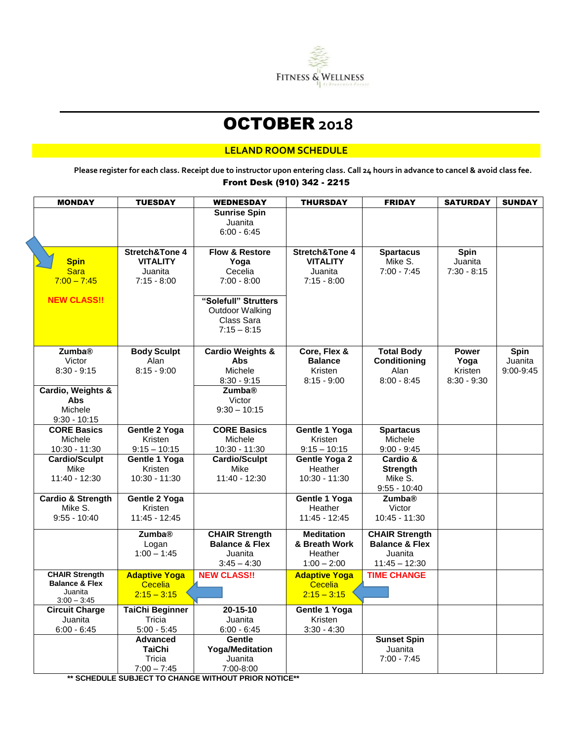

# OCTOBER **2018**

### **LELAND ROOM SCHEDULE**

**Please register for each class. Receipt due to instructor upon entering class. Call 24 hours in advance to cancel & avoid class fee.** Front Desk (910) 342 - 2215

| <b>MONDAY</b>                    | <b>TUESDAY</b>             | <b>WEDNESDAY</b>              | <b>THURSDAY</b>           | <b>FRIDAY</b>               | <b>SATURDAY</b>          | <b>SUNDAY</b> |
|----------------------------------|----------------------------|-------------------------------|---------------------------|-----------------------------|--------------------------|---------------|
|                                  |                            | <b>Sunrise Spin</b>           |                           |                             |                          |               |
|                                  |                            | Juanita                       |                           |                             |                          |               |
|                                  |                            | $6:00 - 6:45$                 |                           |                             |                          |               |
|                                  |                            |                               |                           |                             |                          |               |
|                                  | Stretch&Tone 4             | <b>Flow &amp; Restore</b>     | <b>Stretch&amp;Tone 4</b> | <b>Spartacus</b>            | <b>Spin</b>              |               |
| <b>Spin</b><br><b>Sara</b>       | <b>VITALITY</b><br>Juanita | Yoga<br>Cecelia               | <b>VITALITY</b>           | Mike S.<br>$7:00 - 7:45$    | Juanita<br>$7:30 - 8:15$ |               |
| $7:00 - 7:45$                    | $7:15 - 8:00$              | $7:00 - 8:00$                 | Juanita<br>$7:15 - 8:00$  |                             |                          |               |
|                                  |                            |                               |                           |                             |                          |               |
| <b>NEW CLASS!!</b>               |                            | "Solefull" Strutters          |                           |                             |                          |               |
|                                  |                            | Outdoor Walking               |                           |                             |                          |               |
|                                  |                            | Class Sara                    |                           |                             |                          |               |
|                                  |                            | $7:15 - 8:15$                 |                           |                             |                          |               |
|                                  |                            |                               |                           |                             |                          |               |
| <b>Zumba®</b>                    | <b>Body Sculpt</b>         | <b>Cardio Weights &amp;</b>   | Core, Flex &              | <b>Total Body</b>           | <b>Power</b>             | Spin          |
| Victor                           | Alan                       | <b>Abs</b>                    | <b>Balance</b>            | Conditioning                | Yoga                     | Juanita       |
| $8:30 - 9:15$                    | $8:15 - 9:00$              | Michele                       | Kristen                   | Alan                        | Kristen                  | 9:00-9:45     |
|                                  |                            | $8:30 - 9:15$                 | $8:15 - 9:00$             | $8:00 - 8:45$               | $8:30 - 9:30$            |               |
| Cardio, Weights &                |                            | <b>Zumba®</b>                 |                           |                             |                          |               |
| <b>Abs</b>                       |                            | Victor                        |                           |                             |                          |               |
| Michele                          |                            | $9:30 - 10:15$                |                           |                             |                          |               |
| $9:30 - 10:15$                   |                            |                               |                           |                             |                          |               |
| <b>CORE Basics</b><br>Michele    | Gentle 2 Yoga<br>Kristen   | <b>CORE Basics</b><br>Michele | Gentle 1 Yoga<br>Kristen  | <b>Spartacus</b><br>Michele |                          |               |
| 10:30 - 11:30                    | $9:15 - 10:15$             | 10:30 - 11:30                 | $9:15 - 10:15$            | $9:00 - 9:45$               |                          |               |
| <b>Cardio/Sculpt</b>             | Gentle 1 Yoga              | <b>Cardio/Sculpt</b>          | <b>Gentle Yoga 2</b>      | Cardio &                    |                          |               |
| Mike                             | Kristen                    | Mike                          | Heather                   | Strength                    |                          |               |
| 11:40 - 12:30                    | 10:30 - 11:30              | 11:40 - 12:30                 | 10:30 - 11:30             | Mike S.                     |                          |               |
|                                  |                            |                               |                           | $9:55 - 10:40$              |                          |               |
| <b>Cardio &amp; Strength</b>     | Gentle 2 Yoga              |                               | Gentle 1 Yoga             | <b>Zumba®</b>               |                          |               |
| Mike S.                          | Kristen                    |                               | Heather                   | Victor                      |                          |               |
| $9:55 - 10:40$                   | 11:45 - 12:45              |                               | $11:45 - 12:45$           | 10:45 - 11:30               |                          |               |
|                                  | <b>Zumba</b> <sup>®</sup>  | <b>CHAIR Strength</b>         | <b>Meditation</b>         | <b>CHAIR Strength</b>       |                          |               |
|                                  | Logan                      | <b>Balance &amp; Flex</b>     | & Breath Work             | <b>Balance &amp; Flex</b>   |                          |               |
|                                  | $1:00 - 1:45$              | Juanita                       | Heather                   | Juanita                     |                          |               |
|                                  |                            | $3:45 - 4:30$                 | $1:00 - 2:00$             | $11:45 - 12:30$             |                          |               |
| <b>CHAIR Strength</b>            | <b>Adaptive Yoga</b>       | <b>NEW CLASS!!</b>            | <b>Adaptive Yoga</b>      | <b>TIME CHANGE</b>          |                          |               |
| <b>Balance &amp; Flex</b>        | Cecelia                    |                               | Cecelia                   |                             |                          |               |
| Juanita                          | $2:15 - 3:15$              |                               | $2:15 - 3:15$             |                             |                          |               |
| $3:00 - 3:45$                    | <b>TaiChi Beginner</b>     | 20-15-10                      | Gentle 1 Yoga             |                             |                          |               |
| <b>Circuit Charge</b><br>Juanita | Tricia                     | Juanita                       | Kristen                   |                             |                          |               |
| $6:00 - 6:45$                    | $5:00 - 5:45$              | $6:00 - 6:45$                 | $3:30 - 4:30$             |                             |                          |               |
|                                  | <b>Advanced</b>            | Gentle                        |                           | <b>Sunset Spin</b>          |                          |               |
|                                  | <b>TaiChi</b>              | <b>Yoga/Meditation</b>        |                           | Juanita                     |                          |               |
|                                  | Tricia                     | Juanita                       |                           | $7:00 - 7:45$               |                          |               |
|                                  | $7:00 - 7:45$              | 7:00-8:00                     |                           |                             |                          |               |

**\*\* SCHEDULE SUBJECT TO CHANGE WITHOUT PRIOR NOTICE\*\***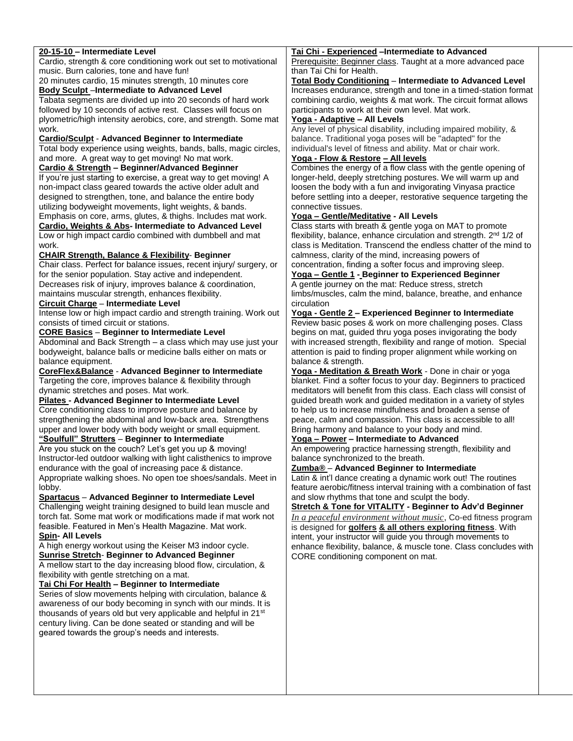| 20-15-10 - Intermediate Level                                              | Tai Chi - Experienced - Intermediate to Advanced                               |  |  |  |
|----------------------------------------------------------------------------|--------------------------------------------------------------------------------|--|--|--|
| Cardio, strength & core conditioning work out set to motivational          | Prerequisite: Beginner class. Taught at a more advanced pace                   |  |  |  |
| music. Burn calories, tone and have fun!                                   | than Tai Chi for Health.                                                       |  |  |  |
| 20 minutes cardio, 15 minutes strength, 10 minutes core                    | Total Body Conditioning - Intermediate to Advanced Level                       |  |  |  |
| <b>Body Sculpt-Intermediate to Advanced Level</b>                          | Increases endurance, strength and tone in a timed-station format               |  |  |  |
| Tabata segments are divided up into 20 seconds of hard work                | combining cardio, weights & mat work. The circuit format allows                |  |  |  |
| followed by 10 seconds of active rest. Classes will focus on               | participants to work at their own level. Mat work.                             |  |  |  |
| plyometric/high intensity aerobics, core, and strength. Some mat           | Yoga - Adaptive - All Levels                                                   |  |  |  |
| work.                                                                      | Any level of physical disability, including impaired mobility, &               |  |  |  |
| <b>Cardio/Sculpt - Advanced Beginner to Intermediate</b>                   | balance. Traditional yoga poses will be "adapted" for the                      |  |  |  |
| Total body experience using weights, bands, balls, magic circles,          | individual's level of fitness and ability. Mat or chair work.                  |  |  |  |
| and more. A great way to get moving! No mat work.                          | Yoga - Flow & Restore - All levels                                             |  |  |  |
| Cardio & Strength - Beginner/Advanced Beginner                             | Combines the energy of a flow class with the gentle opening of                 |  |  |  |
| If you're just starting to exercise, a great way to get moving! A          | longer-held, deeply stretching postures. We will warm up and                   |  |  |  |
| non-impact class geared towards the active older adult and                 | loosen the body with a fun and invigorating Vinyasa practice                   |  |  |  |
| designed to strengthen, tone, and balance the entire body                  | before settling into a deeper, restorative sequence targeting the              |  |  |  |
| utilizing bodyweight movements, light weights, & bands.                    | connective tissues.                                                            |  |  |  |
| Emphasis on core, arms, glutes, & thighs. Includes mat work.               | Yoga - Gentle/Meditative - All Levels                                          |  |  |  |
| Cardio, Weights & Abs- Intermediate to Advanced Level                      | Class starts with breath & gentle yoga on MAT to promote                       |  |  |  |
| Low or high impact cardio combined with dumbbell and mat                   | flexibility, balance, enhance circulation and strength. 2 <sup>nd</sup> 1/2 of |  |  |  |
| work.                                                                      | class is Meditation. Transcend the endless chatter of the mind to              |  |  |  |
| <b>CHAIR Strength, Balance &amp; Flexibility- Beginner</b>                 | calmness, clarity of the mind, increasing powers of                            |  |  |  |
| Chair class. Perfect for balance issues, recent injury/ surgery, or        | concentration, finding a softer focus and improving sleep.                     |  |  |  |
| for the senior population. Stay active and independent.                    | <b>Yoga - Gentle 1 - Beginner to Experienced Beginner</b>                      |  |  |  |
| Decreases risk of injury, improves balance & coordination,                 | A gentle journey on the mat: Reduce stress, stretch                            |  |  |  |
| maintains muscular strength, enhances flexibility.                         | limbs/muscles, calm the mind, balance, breathe, and enhance                    |  |  |  |
| Circuit Charge - Intermediate Level                                        | circulation                                                                    |  |  |  |
| Intense low or high impact cardio and strength training. Work out          | <u>Yoga - Gentle 2</u> – Experienced Beginner to Intermediate                  |  |  |  |
| consists of timed circuit or stations.                                     | Review basic poses & work on more challenging poses. Class                     |  |  |  |
| <b>CORE Basics - Beginner to Intermediate Level</b>                        | begins on mat, guided thru yoga poses invigorating the body                    |  |  |  |
| Abdominal and Back Strength - a class which may use just your              | with increased strength, flexibility and range of motion. Special              |  |  |  |
| bodyweight, balance balls or medicine balls either on mats or              | attention is paid to finding proper alignment while working on                 |  |  |  |
| balance equipment.                                                         | balance & strength.                                                            |  |  |  |
| CoreFlex&Balance - Advanced Beginner to Intermediate                       | Yoga - Meditation & Breath Work - Done in chair or yoga                        |  |  |  |
| Targeting the core, improves balance & flexibility through                 | blanket. Find a softer focus to your day. Beginners to practiced               |  |  |  |
| dynamic stretches and poses. Mat work.                                     | meditators will benefit from this class. Each class will consist of            |  |  |  |
| <b>Pilates - Advanced Beginner to Intermediate Level</b>                   | guided breath work and guided meditation in a variety of styles                |  |  |  |
| Core conditioning class to improve posture and balance by                  | to help us to increase mindfulness and broaden a sense of                      |  |  |  |
| strengthening the abdominal and low-back area. Strengthens                 | peace, calm and compassion. This class is accessible to all!                   |  |  |  |
| upper and lower body with body weight or small equipment.                  | Bring harmony and balance to your body and mind.                               |  |  |  |
| "Soulfull" Strutters - Beginner to Intermediate                            | <u>Yoga - Power</u> - Intermediate to Advanced                                 |  |  |  |
| Are you stuck on the couch? Let's get you up & moving!                     | An empowering practice harnessing strength, flexibility and                    |  |  |  |
| Instructor-led outdoor walking with light calisthenics to improve          | balance synchronized to the breath.                                            |  |  |  |
| endurance with the goal of increasing pace & distance.                     | Zumba® - Advanced Beginner to Intermediate                                     |  |  |  |
| Appropriate walking shoes. No open toe shoes/sandals. Meet in              | Latin & int'l dance creating a dynamic work out! The routines                  |  |  |  |
| lobby.                                                                     | feature aerobic/fitness interval training with a combination of fast           |  |  |  |
| Spartacus - Advanced Beginner to Intermediate Level                        | and slow rhythms that tone and sculpt the body.                                |  |  |  |
| Challenging weight training designed to build lean muscle and              | <b>Stretch &amp; Tone for VITALITY - Beginner to Adv'd Beginner</b>            |  |  |  |
| torch fat. Some mat work or modifications made if mat work not             | In a peaceful environment without music, Co-ed fitness program                 |  |  |  |
| feasible. Featured in Men's Health Magazine. Mat work.                     | is designed for golfers & all others exploring fitness. With                   |  |  |  |
| <b>Spin- All Levels</b>                                                    | intent, your instructor will guide you through movements to                    |  |  |  |
| A high energy workout using the Keiser M3 indoor cycle.                    | enhance flexibility, balance, & muscle tone. Class concludes with              |  |  |  |
| <b>Sunrise Stretch- Beginner to Advanced Beginner</b>                      | CORE conditioning component on mat.                                            |  |  |  |
| A mellow start to the day increasing blood flow, circulation, &            |                                                                                |  |  |  |
| flexibility with gentle stretching on a mat.                               |                                                                                |  |  |  |
| Tai Chi For Health - Beginner to Intermediate                              |                                                                                |  |  |  |
| Series of slow movements helping with circulation, balance &               |                                                                                |  |  |  |
| awareness of our body becoming in synch with our minds. It is              |                                                                                |  |  |  |
| thousands of years old but very applicable and helpful in 21 <sup>st</sup> |                                                                                |  |  |  |
| century living. Can be done seated or standing and will be                 |                                                                                |  |  |  |
| geared towards the group's needs and interests.                            |                                                                                |  |  |  |
|                                                                            |                                                                                |  |  |  |